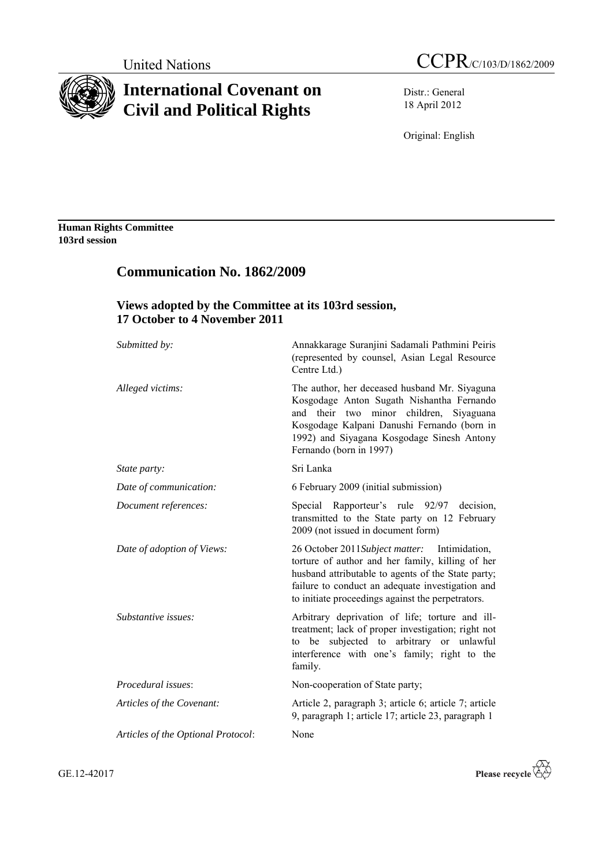

# **International Covenant on Civil and Political Rights**

Distr.: General 18 April 2012

Original: English

**Human Rights Committee 103rd session**

# **Communication No. 1862/2009**

# **Views adopted by the Committee at its 103rd session, 17 October to 4 November 2011**

| Submitted by:                      | Annakkarage Suranjini Sadamali Pathmini Peiris<br>(represented by counsel, Asian Legal Resource<br>Centre Ltd.)                                                                                                                                                  |
|------------------------------------|------------------------------------------------------------------------------------------------------------------------------------------------------------------------------------------------------------------------------------------------------------------|
| Alleged victims:                   | The author, her deceased husband Mr. Siyaguna<br>Kosgodage Anton Sugath Nishantha Fernando<br>their two minor children, Siyaguana<br>and<br>Kosgodage Kalpani Danushi Fernando (born in<br>1992) and Siyagana Kosgodage Sinesh Antony<br>Fernando (born in 1997) |
| State party:                       | Sri Lanka                                                                                                                                                                                                                                                        |
| Date of communication:             | 6 February 2009 (initial submission)                                                                                                                                                                                                                             |
| Document references:               | Special Rapporteur's rule 92/97 decision,<br>transmitted to the State party on 12 February<br>2009 (not issued in document form)                                                                                                                                 |
| Date of adoption of Views:         | 26 October 2011 Subject matter: Intimidation,<br>torture of author and her family, killing of her<br>husband attributable to agents of the State party;<br>failure to conduct an adequate investigation and<br>to initiate proceedings against the perpetrators. |
| Substantive issues:                | Arbitrary deprivation of life; torture and ill-<br>treatment; lack of proper investigation; right not<br>to be subjected to arbitrary or unlawful<br>interference with one's family; right to the<br>family.                                                     |
| Procedural issues:                 | Non-cooperation of State party;                                                                                                                                                                                                                                  |
| Articles of the Covenant:          | Article 2, paragraph 3; article 6; article 7; article<br>9, paragraph 1; article 17; article 23, paragraph 1                                                                                                                                                     |
| Articles of the Optional Protocol: | None                                                                                                                                                                                                                                                             |
|                                    |                                                                                                                                                                                                                                                                  |

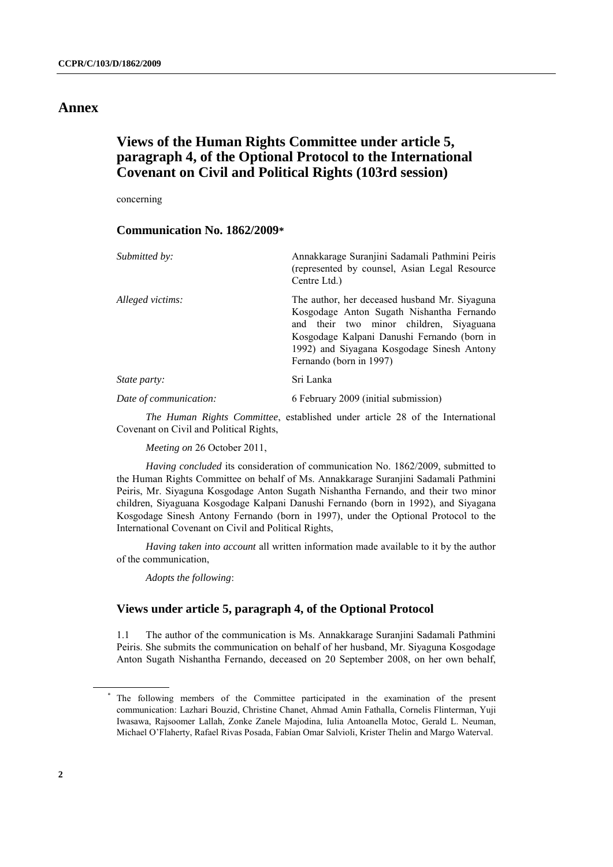# **Annex**

# **Views of the Human Rights Committee under article 5, paragraph 4, of the Optional Protocol to the International Covenant on Civil and Political Rights (103rd session)**

concerning

## **Communication No. 1862/2009\***

| Submitted by:          | Annakkarage Suranjini Sadamali Pathmini Peiris<br>(represented by counsel, Asian Legal Resource)<br>Centre Ltd.)                                                                                                                                              |
|------------------------|---------------------------------------------------------------------------------------------------------------------------------------------------------------------------------------------------------------------------------------------------------------|
| Alleged victims:       | The author, her deceased husband Mr. Siyaguna<br>Kosgodage Anton Sugath Nishantha Fernando<br>and their two minor children, Siyaguana<br>Kosgodage Kalpani Danushi Fernando (born in<br>1992) and Siyagana Kosgodage Sinesh Antony<br>Fernando (born in 1997) |
| <i>State party:</i>    | Sri Lanka                                                                                                                                                                                                                                                     |
| Date of communication: | 6 February 2009 (initial submission)                                                                                                                                                                                                                          |
|                        |                                                                                                                                                                                                                                                               |

*The Human Rights Committee*, established under article 28 of the International Covenant on Civil and Political Rights,

*Meeting on* 26 October 2011,

*Having concluded* its consideration of communication No. 1862/2009, submitted to the Human Rights Committee on behalf of Ms. Annakkarage Suranjini Sadamali Pathmini Peiris, Mr. Siyaguna Kosgodage Anton Sugath Nishantha Fernando, and their two minor children, Siyaguana Kosgodage Kalpani Danushi Fernando (born in 1992), and Siyagana Kosgodage Sinesh Antony Fernando (born in 1997), under the Optional Protocol to the International Covenant on Civil and Political Rights,

*Having taken into account* all written information made available to it by the author of the communication,

*Adopts the following*:

## **Views under article 5, paragraph 4, of the Optional Protocol**

1.1 The author of the communication is Ms. Annakkarage Suranjini Sadamali Pathmini Peiris. She submits the communication on behalf of her husband, Mr. Siyaguna Kosgodage Anton Sugath Nishantha Fernando, deceased on 20 September 2008, on her own behalf,

<sup>\*</sup> The following members of the Committee participated in the examination of the present communication: Lazhari Bouzid, Christine Chanet, Ahmad Amin Fathalla, Cornelis Flinterman, Yuji Iwasawa, Rajsoomer Lallah, Zonke Zanele Majodina, Iulia Antoanella Motoc, Gerald L. Neuman, Michael O'Flaherty, Rafael Rivas Posada, Fabían Omar Salvioli, Krister Thelin and Margo Waterval.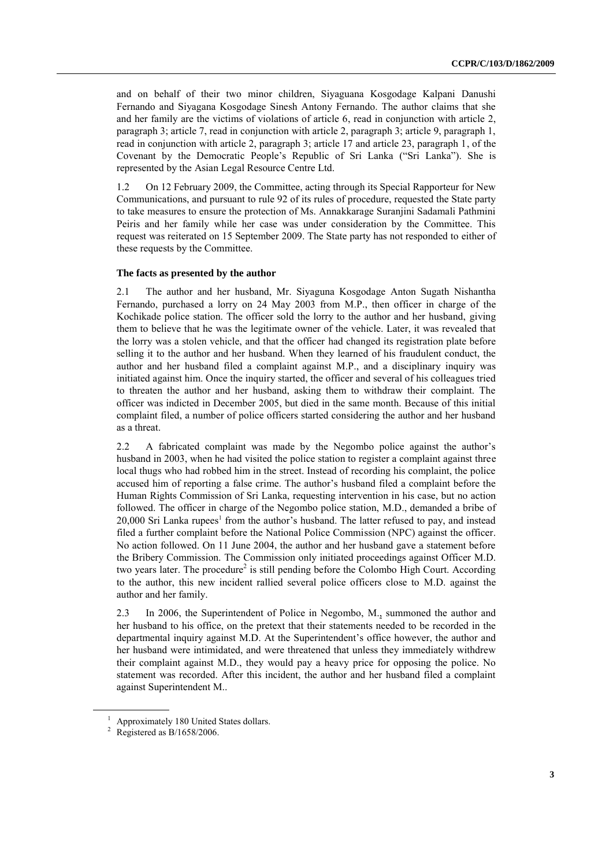and on behalf of their two minor children, Siyaguana Kosgodage Kalpani Danushi Fernando and Siyagana Kosgodage Sinesh Antony Fernando. The author claims that she and her family are the victims of violations of article 6, read in conjunction with article 2, paragraph 3; article 7, read in conjunction with article 2, paragraph 3; article 9, paragraph 1, read in conjunction with article 2, paragraph 3; article 17 and article 23, paragraph 1, of the Covenant by the Democratic People's Republic of Sri Lanka ("Sri Lanka"). She is represented by the Asian Legal Resource Centre Ltd.

1.2 On 12 February 2009, the Committee, acting through its Special Rapporteur for New Communications, and pursuant to rule 92 of its rules of procedure, requested the State party to take measures to ensure the protection of Ms. Annakkarage Suranjini Sadamali Pathmini Peiris and her family while her case was under consideration by the Committee. This request was reiterated on 15 September 2009. The State party has not responded to either of these requests by the Committee.

#### **The facts as presented by the author**

2.1 The author and her husband, Mr. Siyaguna Kosgodage Anton Sugath Nishantha Fernando, purchased a lorry on 24 May 2003 from M.P., then officer in charge of the Kochikade police station. The officer sold the lorry to the author and her husband, giving them to believe that he was the legitimate owner of the vehicle. Later, it was revealed that the lorry was a stolen vehicle, and that the officer had changed its registration plate before selling it to the author and her husband. When they learned of his fraudulent conduct, the author and her husband filed a complaint against M.P., and a disciplinary inquiry was initiated against him. Once the inquiry started, the officer and several of his colleagues tried to threaten the author and her husband, asking them to withdraw their complaint. The officer was indicted in December 2005, but died in the same month. Because of this initial complaint filed, a number of police officers started considering the author and her husband as a threat.

2.2 A fabricated complaint was made by the Negombo police against the author's husband in 2003, when he had visited the police station to register a complaint against three local thugs who had robbed him in the street. Instead of recording his complaint, the police accused him of reporting a false crime. The author's husband filed a complaint before the Human Rights Commission of Sri Lanka, requesting intervention in his case, but no action followed. The officer in charge of the Negombo police station, M.D., demanded a bribe of 20,000 Sri Lanka rupees<sup>1</sup> from the author's husband. The latter refused to pay, and instead filed a further complaint before the National Police Commission (NPC) against the officer. No action followed. On 11 June 2004, the author and her husband gave a statement before the Bribery Commission. The Commission only initiated proceedings against Officer M.D. two years later. The procedure<sup>2</sup> is still pending before the Colombo High Court. According to the author, this new incident rallied several police officers close to M.D. against the author and her family.

2.3 In 2006, the Superintendent of Police in Negombo, M., summoned the author and her husband to his office, on the pretext that their statements needed to be recorded in the departmental inquiry against M.D. At the Superintendent's office however, the author and her husband were intimidated, and were threatened that unless they immediately withdrew their complaint against M.D., they would pay a heavy price for opposing the police. No statement was recorded. After this incident, the author and her husband filed a complaint against Superintendent M..

<sup>1</sup> Approximately 180 United States dollars.

 $2$  Registered as B/1658/2006.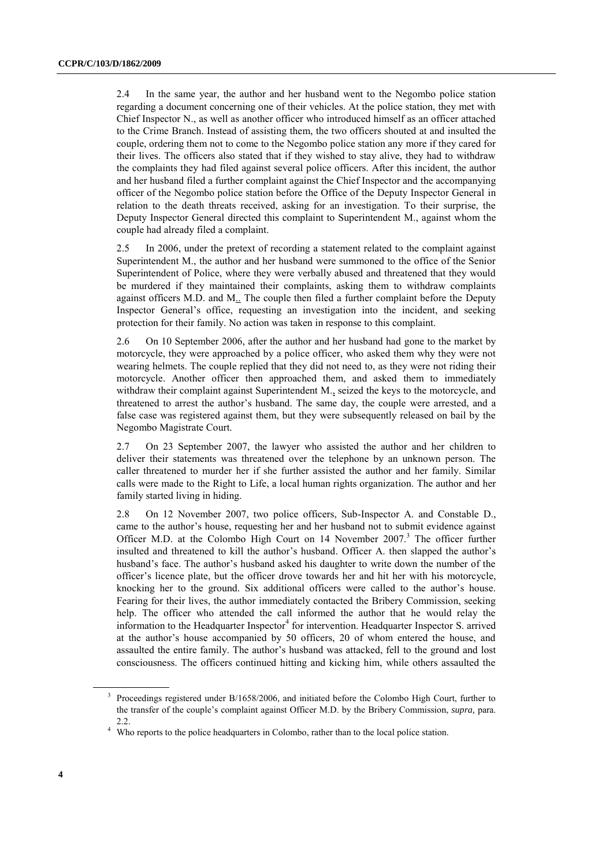2.4 In the same year, the author and her husband went to the Negombo police station regarding a document concerning one of their vehicles. At the police station, they met with Chief Inspector N., as well as another officer who introduced himself as an officer attached to the Crime Branch. Instead of assisting them, the two officers shouted at and insulted the couple, ordering them not to come to the Negombo police station any more if they cared for their lives. The officers also stated that if they wished to stay alive, they had to withdraw the complaints they had filed against several police officers. After this incident, the author and her husband filed a further complaint against the Chief Inspector and the accompanying officer of the Negombo police station before the Office of the Deputy Inspector General in relation to the death threats received, asking for an investigation. To their surprise, the Deputy Inspector General directed this complaint to Superintendent M., against whom the couple had already filed a complaint.

2.5 In 2006, under the pretext of recording a statement related to the complaint against Superintendent M., the author and her husband were summoned to the office of the Senior Superintendent of Police, where they were verbally abused and threatened that they would be murdered if they maintained their complaints, asking them to withdraw complaints against officers M.D. and M.. The couple then filed a further complaint before the Deputy Inspector General's office, requesting an investigation into the incident, and seeking protection for their family. No action was taken in response to this complaint.

2.6 On 10 September 2006, after the author and her husband had gone to the market by motorcycle, they were approached by a police officer, who asked them why they were not wearing helmets. The couple replied that they did not need to, as they were not riding their motorcycle. Another officer then approached them, and asked them to immediately withdraw their complaint against Superintendent M., seized the keys to the motorcycle, and threatened to arrest the author's husband. The same day, the couple were arrested, and a false case was registered against them, but they were subsequently released on bail by the Negombo Magistrate Court.

2.7 On 23 September 2007, the lawyer who assisted the author and her children to deliver their statements was threatened over the telephone by an unknown person. The caller threatened to murder her if she further assisted the author and her family. Similar calls were made to the Right to Life, a local human rights organization. The author and her family started living in hiding.

2.8 On 12 November 2007, two police officers, Sub-Inspector A. and Constable D., came to the author's house, requesting her and her husband not to submit evidence against Officer M.D. at the Colombo High Court on  $14$  November  $2007$ .<sup>3</sup> The officer further insulted and threatened to kill the author's husband. Officer A. then slapped the author's husband's face. The author's husband asked his daughter to write down the number of the officer's licence plate, but the officer drove towards her and hit her with his motorcycle, knocking her to the ground. Six additional officers were called to the author's house. Fearing for their lives, the author immediately contacted the Bribery Commission, seeking help. The officer who attended the call informed the author that he would relay the information to the Headquarter Inspector<sup>4</sup> for intervention. Headquarter Inspector S. arrived at the author's house accompanied by 50 officers, 20 of whom entered the house, and assaulted the entire family. The author's husband was attacked, fell to the ground and lost consciousness. The officers continued hitting and kicking him, while others assaulted the

<sup>&</sup>lt;sup>3</sup> Proceedings registered under B/1658/2006, and initiated before the Colombo High Court, further to the transfer of the couple's complaint against Officer M.D. by the Bribery Commission, *supra,* para. 2.2.

<sup>&</sup>lt;sup>4</sup> Who reports to the police headquarters in Colombo, rather than to the local police station.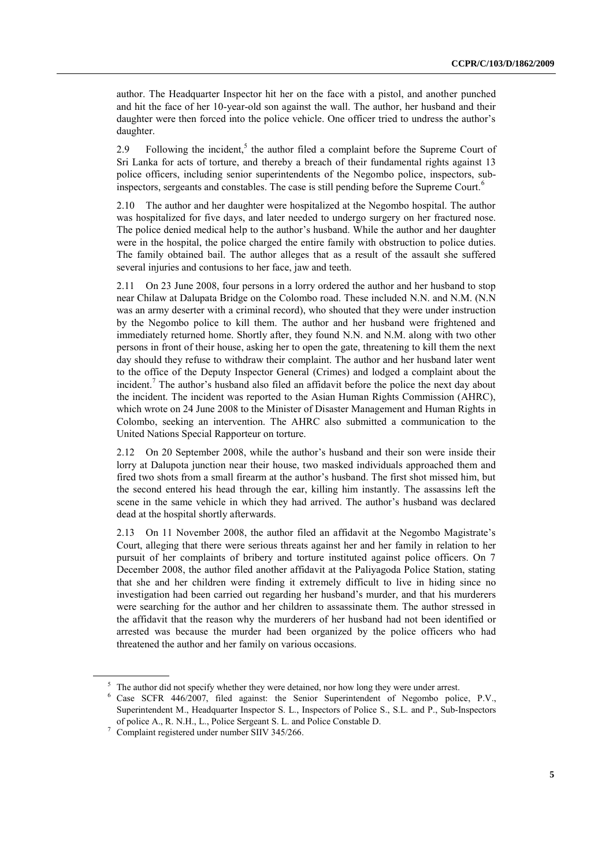author. The Headquarter Inspector hit her on the face with a pistol, and another punched and hit the face of her 10-year-old son against the wall. The author, her husband and their daughter were then forced into the police vehicle. One officer tried to undress the author's daughter.

2.9 Following the incident,<sup>5</sup> the author filed a complaint before the Supreme Court of Sri Lanka for acts of torture, and thereby a breach of their fundamental rights against 13 police officers, including senior superintendents of the Negombo police, inspectors, subinspectors, sergeants and constables. The case is still pending before the Supreme Court.<sup>6</sup>

2.10 The author and her daughter were hospitalized at the Negombo hospital. The author was hospitalized for five days, and later needed to undergo surgery on her fractured nose. The police denied medical help to the author's husband. While the author and her daughter were in the hospital, the police charged the entire family with obstruction to police duties. The family obtained bail. The author alleges that as a result of the assault she suffered several injuries and contusions to her face, jaw and teeth.

2.11 On 23 June 2008, four persons in a lorry ordered the author and her husband to stop near Chilaw at Dalupata Bridge on the Colombo road. These included N.N. and N.M. (N.N was an army deserter with a criminal record), who shouted that they were under instruction by the Negombo police to kill them. The author and her husband were frightened and immediately returned home. Shortly after, they found N.N. and N.M. along with two other persons in front of their house, asking her to open the gate, threatening to kill them the next day should they refuse to withdraw their complaint. The author and her husband later went to the office of the Deputy Inspector General (Crimes) and lodged a complaint about the incident.<sup>7</sup> The author's husband also filed an affidavit before the police the next day about the incident. The incident was reported to the Asian Human Rights Commission (AHRC), which wrote on 24 June 2008 to the Minister of Disaster Management and Human Rights in Colombo, seeking an intervention. The AHRC also submitted a communication to the United Nations Special Rapporteur on torture.

2.12 On 20 September 2008, while the author's husband and their son were inside their lorry at Dalupota junction near their house, two masked individuals approached them and fired two shots from a small firearm at the author's husband. The first shot missed him, but the second entered his head through the ear, killing him instantly. The assassins left the scene in the same vehicle in which they had arrived. The author's husband was declared dead at the hospital shortly afterwards.

2.13 On 11 November 2008, the author filed an affidavit at the Negombo Magistrate's Court, alleging that there were serious threats against her and her family in relation to her pursuit of her complaints of bribery and torture instituted against police officers. On 7 December 2008, the author filed another affidavit at the Paliyagoda Police Station, stating that she and her children were finding it extremely difficult to live in hiding since no investigation had been carried out regarding her husband's murder, and that his murderers were searching for the author and her children to assassinate them. The author stressed in the affidavit that the reason why the murderers of her husband had not been identified or arrested was because the murder had been organized by the police officers who had threatened the author and her family on various occasions.

<sup>&</sup>lt;sup>5</sup> The author did not specify whether they were detained, nor how long they were under arrest.

<sup>6</sup> Case SCFR 446/2007, filed against: the Senior Superintendent of Negombo police, P.V., Superintendent M., Headquarter Inspector S. L., Inspectors of Police S., S.L. and P., Sub-Inspectors of police A., R. N.H., L., Police Sergeant S. L. and Police Constable D.

<sup>7</sup> Complaint registered under number SIIV 345/266.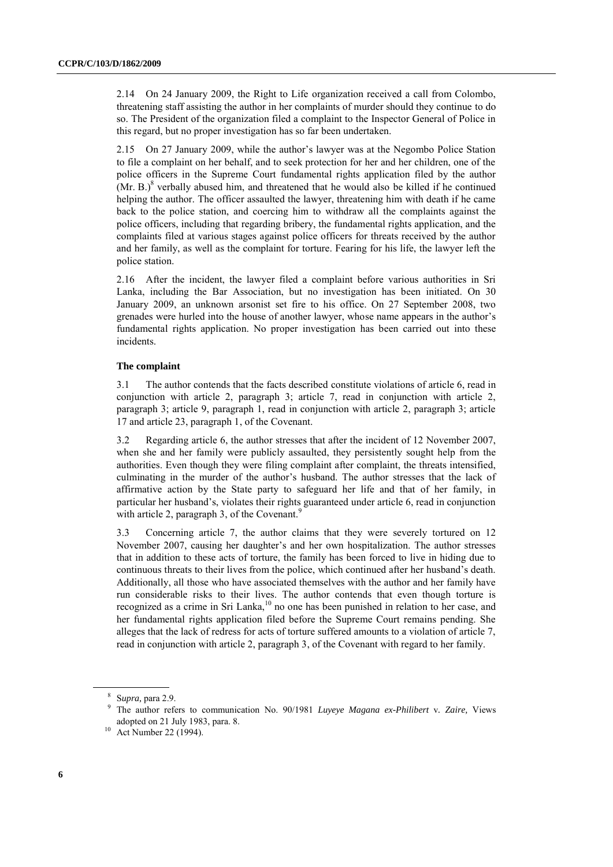2.14 On 24 January 2009, the Right to Life organization received a call from Colombo, threatening staff assisting the author in her complaints of murder should they continue to do so. The President of the organization filed a complaint to the Inspector General of Police in this regard, but no proper investigation has so far been undertaken.

2.15 On 27 January 2009, while the author's lawyer was at the Negombo Police Station to file a complaint on her behalf, and to seek protection for her and her children, one of the police officers in the Supreme Court fundamental rights application filed by the author  $(Mr. B.)<sup>8</sup>$  verbally abused him, and threatened that he would also be killed if he continued helping the author. The officer assaulted the lawyer, threatening him with death if he came back to the police station, and coercing him to withdraw all the complaints against the police officers, including that regarding bribery, the fundamental rights application, and the complaints filed at various stages against police officers for threats received by the author and her family, as well as the complaint for torture. Fearing for his life, the lawyer left the police station.

2.16 After the incident, the lawyer filed a complaint before various authorities in Sri Lanka, including the Bar Association, but no investigation has been initiated. On 30 January 2009, an unknown arsonist set fire to his office. On 27 September 2008, two grenades were hurled into the house of another lawyer, whose name appears in the author's fundamental rights application. No proper investigation has been carried out into these incidents.

#### **The complaint**

3.1 The author contends that the facts described constitute violations of article 6, read in conjunction with article 2, paragraph 3; article 7, read in conjunction with article 2, paragraph 3; article 9, paragraph 1, read in conjunction with article 2, paragraph 3; article 17 and article 23, paragraph 1, of the Covenant.

3.2 Regarding article 6, the author stresses that after the incident of 12 November 2007, when she and her family were publicly assaulted, they persistently sought help from the authorities. Even though they were filing complaint after complaint, the threats intensified, culminating in the murder of the author's husband. The author stresses that the lack of affirmative action by the State party to safeguard her life and that of her family, in particular her husband's, violates their rights guaranteed under article 6, read in conjunction with article 2, paragraph 3, of the Covenant. $\frac{9}{2}$ 

3.3 Concerning article 7, the author claims that they were severely tortured on 12 November 2007, causing her daughter's and her own hospitalization. The author stresses that in addition to these acts of torture, the family has been forced to live in hiding due to continuous threats to their lives from the police, which continued after her husband's death. Additionally, all those who have associated themselves with the author and her family have run considerable risks to their lives. The author contends that even though torture is recognized as a crime in Sri Lanka,<sup>10</sup> no one has been punished in relation to her case, and her fundamental rights application filed before the Supreme Court remains pending. She alleges that the lack of redress for acts of torture suffered amounts to a violation of article 7, read in conjunction with article 2, paragraph 3, of the Covenant with regard to her family.

<sup>8</sup> S*upra,* para 2.9.

<sup>9</sup> The author refers to communication No. 90/1981 *Luyeye Magana ex-Philibert* v*. Zaire,* Views adopted on 21 July 1983, para. 8.

 $10$  Act Number 22 (1994).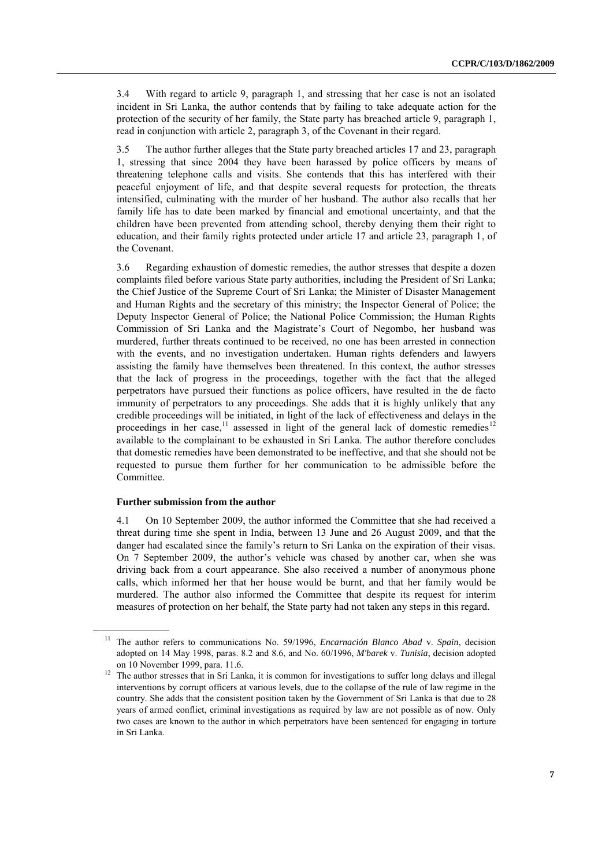3.4 With regard to article 9, paragraph 1, and stressing that her case is not an isolated incident in Sri Lanka, the author contends that by failing to take adequate action for the protection of the security of her family, the State party has breached article 9, paragraph 1, read in conjunction with article 2, paragraph 3, of the Covenant in their regard.

3.5 The author further alleges that the State party breached articles 17 and 23, paragraph 1, stressing that since 2004 they have been harassed by police officers by means of threatening telephone calls and visits. She contends that this has interfered with their peaceful enjoyment of life, and that despite several requests for protection, the threats intensified, culminating with the murder of her husband. The author also recalls that her family life has to date been marked by financial and emotional uncertainty, and that the children have been prevented from attending school, thereby denying them their right to education, and their family rights protected under article 17 and article 23, paragraph 1, of the Covenant.

3.6 Regarding exhaustion of domestic remedies, the author stresses that despite a dozen complaints filed before various State party authorities, including the President of Sri Lanka; the Chief Justice of the Supreme Court of Sri Lanka; the Minister of Disaster Management and Human Rights and the secretary of this ministry; the Inspector General of Police; the Deputy Inspector General of Police; the National Police Commission; the Human Rights Commission of Sri Lanka and the Magistrate's Court of Negombo, her husband was murdered, further threats continued to be received, no one has been arrested in connection with the events, and no investigation undertaken. Human rights defenders and lawyers assisting the family have themselves been threatened. In this context, the author stresses that the lack of progress in the proceedings, together with the fact that the alleged perpetrators have pursued their functions as police officers, have resulted in the de facto immunity of perpetrators to any proceedings. She adds that it is highly unlikely that any credible proceedings will be initiated, in light of the lack of effectiveness and delays in the proceedings in her case,<sup>11</sup> assessed in light of the general lack of domestic remedies<sup>12</sup> available to the complainant to be exhausted in Sri Lanka. The author therefore concludes that domestic remedies have been demonstrated to be ineffective, and that she should not be requested to pursue them further for her communication to be admissible before the Committee.

#### **Further submission from the author**

4.1 On 10 September 2009, the author informed the Committee that she had received a threat during time she spent in India, between 13 June and 26 August 2009, and that the danger had escalated since the family's return to Sri Lanka on the expiration of their visas. On 7 September 2009, the author's vehicle was chased by another car, when she was driving back from a court appearance. She also received a number of anonymous phone calls, which informed her that her house would be burnt, and that her family would be murdered. The author also informed the Committee that despite its request for interim measures of protection on her behalf, the State party had not taken any steps in this regard.

<sup>11</sup> The author refers to communications No. 59/1996, *Encarnación Blanco Abad* v. *Spain*, decision adopted on 14 May 1998, paras. 8.2 and 8.6, and No. 60/1996, *M'barek* v. *Tunisia*, decision adopted on 10 November 1999, para. 11.6.

<sup>&</sup>lt;sup>12</sup> The author stresses that in Sri Lanka, it is common for investigations to suffer long delays and illegal interventions by corrupt officers at various levels, due to the collapse of the rule of law regime in the country. She adds that the consistent position taken by the Government of Sri Lanka is that due to 28 years of armed conflict, criminal investigations as required by law are not possible as of now. Only two cases are known to the author in which perpetrators have been sentenced for engaging in torture in Sri Lanka.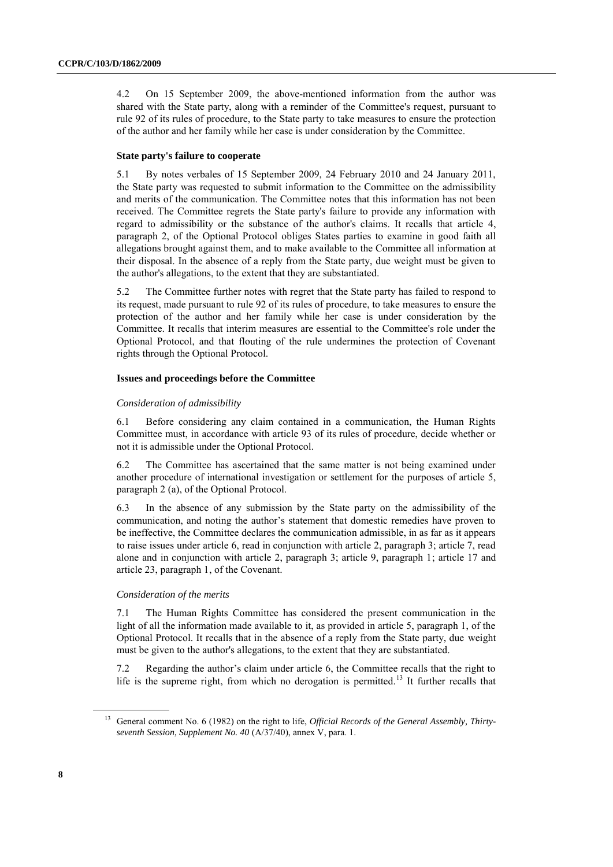4.2 On 15 September 2009, the above-mentioned information from the author was shared with the State party, along with a reminder of the Committee's request, pursuant to rule 92 of its rules of procedure, to the State party to take measures to ensure the protection of the author and her family while her case is under consideration by the Committee.

#### **State party's failure to cooperate**

5.1 By notes verbales of 15 September 2009, 24 February 2010 and 24 January 2011, the State party was requested to submit information to the Committee on the admissibility and merits of the communication. The Committee notes that this information has not been received. The Committee regrets the State party's failure to provide any information with regard to admissibility or the substance of the author's claims. It recalls that article 4, paragraph 2, of the Optional Protocol obliges States parties to examine in good faith all allegations brought against them, and to make available to the Committee all information at their disposal. In the absence of a reply from the State party, due weight must be given to the author's allegations, to the extent that they are substantiated.

5.2 The Committee further notes with regret that the State party has failed to respond to its request, made pursuant to rule 92 of its rules of procedure, to take measures to ensure the protection of the author and her family while her case is under consideration by the Committee. It recalls that interim measures are essential to the Committee's role under the Optional Protocol, and that flouting of the rule undermines the protection of Covenant rights through the Optional Protocol.

#### **Issues and proceedings before the Committee**

#### *Consideration of admissibility*

6.1 Before considering any claim contained in a communication, the Human Rights Committee must, in accordance with article 93 of its rules of procedure, decide whether or not it is admissible under the Optional Protocol.

6.2 The Committee has ascertained that the same matter is not being examined under another procedure of international investigation or settlement for the purposes of article 5, paragraph 2 (a), of the Optional Protocol.

6.3 In the absence of any submission by the State party on the admissibility of the communication, and noting the author's statement that domestic remedies have proven to be ineffective, the Committee declares the communication admissible, in as far as it appears to raise issues under article 6, read in conjunction with article 2, paragraph 3; article 7, read alone and in conjunction with article 2, paragraph 3; article 9, paragraph 1; article 17 and article 23, paragraph 1, of the Covenant.

#### *Consideration of the merits*

7.1 The Human Rights Committee has considered the present communication in the light of all the information made available to it, as provided in article 5, paragraph 1, of the Optional Protocol. It recalls that in the absence of a reply from the State party, due weight must be given to the author's allegations, to the extent that they are substantiated.

7.2 Regarding the author's claim under article 6, the Committee recalls that the right to life is the supreme right, from which no derogation is permitted.<sup>13</sup> It further recalls that

<sup>13</sup> General comment No. 6 (1982) on the right to life, *Official Records of the General Assembly, Thirtyseventh Session, Supplement No. 40* (A/37/40), annex V, para. 1.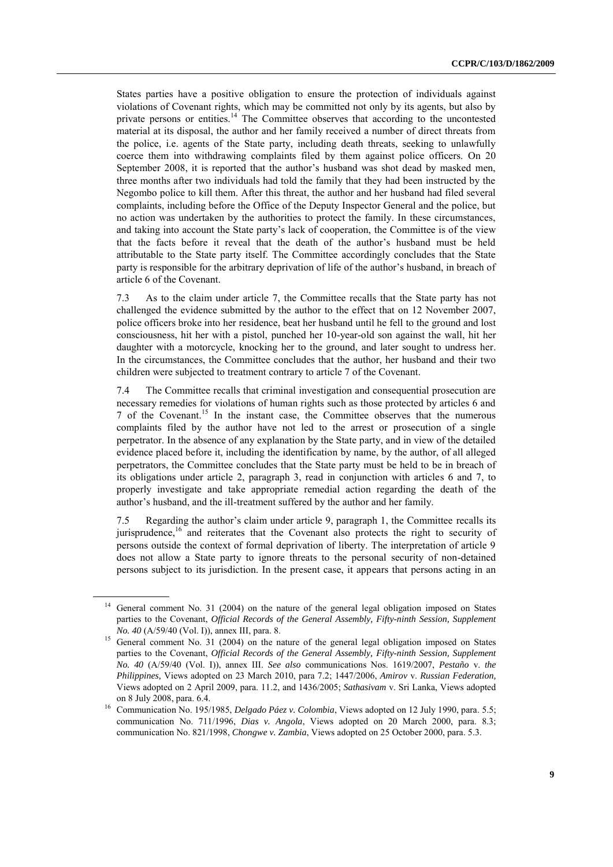States parties have a positive obligation to ensure the protection of individuals against violations of Covenant rights, which may be committed not only by its agents, but also by private persons or entities.<sup>14</sup> The Committee observes that according to the uncontested material at its disposal, the author and her family received a number of direct threats from the police, i.e. agents of the State party, including death threats, seeking to unlawfully coerce them into withdrawing complaints filed by them against police officers. On 20 September 2008, it is reported that the author's husband was shot dead by masked men, three months after two individuals had told the family that they had been instructed by the Negombo police to kill them. After this threat, the author and her husband had filed several complaints, including before the Office of the Deputy Inspector General and the police, but no action was undertaken by the authorities to protect the family. In these circumstances, and taking into account the State party's lack of cooperation, the Committee is of the view that the facts before it reveal that the death of the author's husband must be held attributable to the State party itself. The Committee accordingly concludes that the State party is responsible for the arbitrary deprivation of life of the author's husband, in breach of article 6 of the Covenant.

7.3 As to the claim under article 7, the Committee recalls that the State party has not challenged the evidence submitted by the author to the effect that on 12 November 2007, police officers broke into her residence, beat her husband until he fell to the ground and lost consciousness, hit her with a pistol, punched her 10-year-old son against the wall, hit her daughter with a motorcycle, knocking her to the ground, and later sought to undress her. In the circumstances, the Committee concludes that the author, her husband and their two children were subjected to treatment contrary to article 7 of the Covenant.

7.4 The Committee recalls that criminal investigation and consequential prosecution are necessary remedies for violations of human rights such as those protected by articles 6 and 7 of the Covenant.<sup>15</sup> In the instant case, the Committee observes that the numerous complaints filed by the author have not led to the arrest or prosecution of a single perpetrator. In the absence of any explanation by the State party, and in view of the detailed evidence placed before it, including the identification by name, by the author, of all alleged perpetrators, the Committee concludes that the State party must be held to be in breach of its obligations under article 2, paragraph 3, read in conjunction with articles 6 and 7, to properly investigate and take appropriate remedial action regarding the death of the author's husband, and the ill-treatment suffered by the author and her family.

7.5 Regarding the author's claim under article 9, paragraph 1, the Committee recalls its jurisprudence,<sup>16</sup> and reiterates that the Covenant also protects the right to security of persons outside the context of formal deprivation of liberty. The interpretation of article 9 does not allow a State party to ignore threats to the personal security of non-detained persons subject to its jurisdiction. In the present case, it appears that persons acting in an

General comment No. 31 (2004) on the nature of the general legal obligation imposed on States parties to the Covenant, *Official Records of the General Assembly, Fifty-ninth Session, Supplement No. 40* (A/59/40 (Vol. I)), annex III, para. 8.

<sup>&</sup>lt;sup>15</sup> General comment No. 31 (2004) on the nature of the general legal obligation imposed on States parties to the Covenant, *Official Records of the General Assembly, Fifty-ninth Session, Supplement No. 40* (A/59/40 (Vol. I)), annex III. *See also* communications Nos. 1619/2007, *Pestaño* v. *the Philippines,* Views adopted on 23 March 2010, para 7.2; 1447/2006, *Amirov* v. *Russian Federation,*  Views adopted on 2 April 2009, para. 11.2, and 1436/2005; *Sathasivam* v. Sri Lanka, Views adopted on 8 July 2008, para. 6.4.

<sup>16</sup> Communication No. 195/1985, *Delgado Páez v. Colombia*, Views adopted on 12 July 1990, para. 5.5; communication No. 711/1996, *Dias v. Angola*, Views adopted on 20 March 2000, para. 8.3; communication No. 821/1998, *Chongwe v. Zambia*, Views adopted on 25 October 2000, para. 5.3.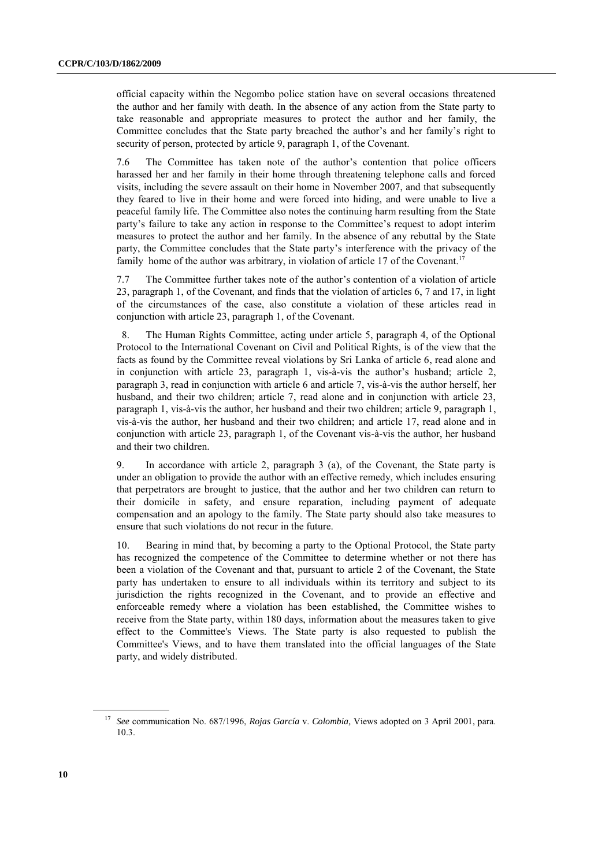official capacity within the Negombo police station have on several occasions threatened the author and her family with death. In the absence of any action from the State party to take reasonable and appropriate measures to protect the author and her family, the Committee concludes that the State party breached the author's and her family's right to security of person, protected by article 9, paragraph 1, of the Covenant.

7.6 The Committee has taken note of the author's contention that police officers harassed her and her family in their home through threatening telephone calls and forced visits, including the severe assault on their home in November 2007, and that subsequently they feared to live in their home and were forced into hiding, and were unable to live a peaceful family life. The Committee also notes the continuing harm resulting from the State party's failure to take any action in response to the Committee's request to adopt interim measures to protect the author and her family. In the absence of any rebuttal by the State party, the Committee concludes that the State party's interference with the privacy of the family home of the author was arbitrary, in violation of article 17 of the Covenant.<sup>17</sup>

7.7 The Committee further takes note of the author's contention of a violation of article 23, paragraph 1, of the Covenant, and finds that the violation of articles 6, 7 and 17, in light of the circumstances of the case, also constitute a violation of these articles read in conjunction with article 23, paragraph 1, of the Covenant.

8. The Human Rights Committee, acting under article 5, paragraph 4, of the Optional Protocol to the International Covenant on Civil and Political Rights, is of the view that the facts as found by the Committee reveal violations by Sri Lanka of article 6, read alone and in conjunction with article 23, paragraph 1, vis-à-vis the author's husband; article 2, paragraph 3, read in conjunction with article 6 and article 7, vis-à-vis the author herself, her husband, and their two children; article 7, read alone and in conjunction with article 23, paragraph 1, vis-à-vis the author, her husband and their two children; article 9, paragraph 1, vis-à-vis the author, her husband and their two children; and article 17, read alone and in conjunction with article 23, paragraph 1, of the Covenant vis-à-vis the author, her husband and their two children.

9. In accordance with article 2, paragraph 3 (a), of the Covenant, the State party is under an obligation to provide the author with an effective remedy, which includes ensuring that perpetrators are brought to justice, that the author and her two children can return to their domicile in safety, and ensure reparation, including payment of adequate compensation and an apology to the family. The State party should also take measures to ensure that such violations do not recur in the future.

10. Bearing in mind that, by becoming a party to the Optional Protocol, the State party has recognized the competence of the Committee to determine whether or not there has been a violation of the Covenant and that, pursuant to article 2 of the Covenant, the State party has undertaken to ensure to all individuals within its territory and subject to its jurisdiction the rights recognized in the Covenant, and to provide an effective and enforceable remedy where a violation has been established, the Committee wishes to receive from the State party, within 180 days, information about the measures taken to give effect to the Committee's Views. The State party is also requested to publish the Committee's Views, and to have them translated into the official languages of the State party, and widely distributed.

<sup>17</sup> *See* communication No. 687/1996, *Rojas García* v. *Colombia,* Views adopted on 3 April 2001, para. 10.3.